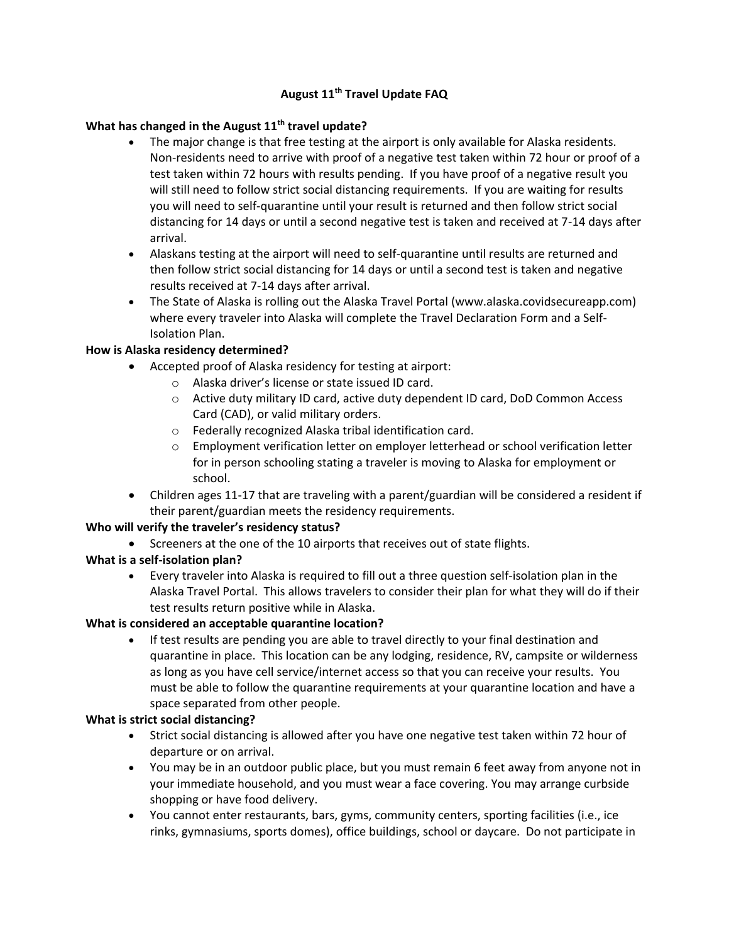## **August 11th Travel Update FAQ**

# **What has changed in the August 11th travel update?**

- The major change is that free testing at the airport is only available for Alaska residents. Non-residents need to arrive with proof of a negative test taken within 72 hour or proof of a test taken within 72 hours with results pending. If you have proof of a negative result you will still need to follow strict social distancing requirements. If you are waiting for results you will need to self-quarantine until your result is returned and then follow strict social distancing for 14 days or until a second negative test is taken and received at 7-14 days after arrival.
- Alaskans testing at the airport will need to self-quarantine until results are returned and then follow strict social distancing for 14 days or until a second test is taken and negative results received at 7-14 days after arrival.
- The State of Alaska is rolling out the Alaska Travel Portal (www.alaska.covidsecureapp.com) where every traveler into Alaska will complete the Travel Declaration Form and a Self-Isolation Plan.

# **How is Alaska residency determined?**

- Accepted proof of Alaska residency for testing at airport:
	- o Alaska driver's license or state issued ID card.
	- o Active duty military ID card, active duty dependent ID card, DoD Common Access Card (CAD), or valid military orders.
	- o Federally recognized Alaska tribal identification card.
	- $\circ$  Employment verification letter on employer letterhead or school verification letter for in person schooling stating a traveler is moving to Alaska for employment or school.
- Children ages 11-17 that are traveling with a parent/guardian will be considered a resident if their parent/guardian meets the residency requirements.

# **Who will verify the traveler's residency status?**

Screeners at the one of the 10 airports that receives out of state flights.

# **What is a self-isolation plan?**

 Every traveler into Alaska is required to fill out a three question self-isolation plan in the Alaska Travel Portal. This allows travelers to consider their plan for what they will do if their test results return positive while in Alaska.

#### **What is considered an acceptable quarantine location?**

 If test results are pending you are able to travel directly to your final destination and quarantine in place. This location can be any lodging, residence, RV, campsite or wilderness as long as you have cell service/internet access so that you can receive your results. You must be able to follow the quarantine requirements at your quarantine location and have a space separated from other people.

#### **What is strict social distancing?**

- Strict social distancing is allowed after you have one negative test taken within 72 hour of departure or on arrival.
- You may be in an outdoor public place, but you must remain 6 feet away from anyone not in your immediate household, and you must wear a face covering. You may arrange curbside shopping or have food delivery.
- You cannot enter restaurants, bars, gyms, community centers, sporting facilities (i.e., ice rinks, gymnasiums, sports domes), office buildings, school or daycare. Do not participate in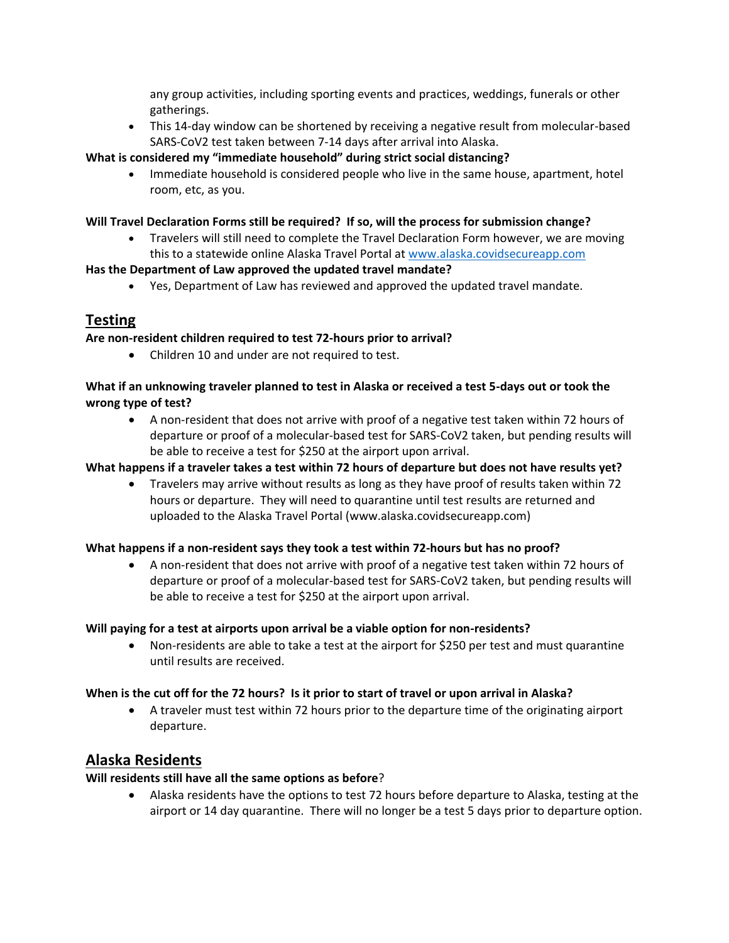any group activities, including sporting events and practices, weddings, funerals or other gatherings.

 This 14-day window can be shortened by receiving a negative result from molecular-based SARS-CoV2 test taken between 7-14 days after arrival into Alaska.

#### **What is considered my "immediate household" during strict social distancing?**

 Immediate household is considered people who live in the same house, apartment, hotel room, etc, as you.

#### **Will Travel Declaration Forms still be required? If so, will the process for submission change?**

 Travelers will still need to complete the Travel Declaration Form however, we are moving this to a statewide online Alaska Travel Portal at [www.alaska.covidsecureapp.com](http://www.alaska.covidsecureapp.com/)

#### **Has the Department of Law approved the updated travel mandate?**

Yes, Department of Law has reviewed and approved the updated travel mandate.

# **Testing**

#### **Are non-resident children required to test 72-hours prior to arrival?**

Children 10 and under are not required to test.

## **What if an unknowing traveler planned to test in Alaska or received a test 5-days out or took the wrong type of test?**

 A non-resident that does not arrive with proof of a negative test taken within 72 hours of departure or proof of a molecular-based test for SARS-CoV2 taken, but pending results will be able to receive a test for \$250 at the airport upon arrival.

## **What happens if a traveler takes a test within 72 hours of departure but does not have results yet?**

 Travelers may arrive without results as long as they have proof of results taken within 72 hours or departure. They will need to quarantine until test results are returned and uploaded to the Alaska Travel Portal (www.alaska.covidsecureapp.com)

#### **What happens if a non-resident says they took a test within 72-hours but has no proof?**

 A non-resident that does not arrive with proof of a negative test taken within 72 hours of departure or proof of a molecular-based test for SARS-CoV2 taken, but pending results will be able to receive a test for \$250 at the airport upon arrival.

#### **Will paying for a test at airports upon arrival be a viable option for non-residents?**

 Non-residents are able to take a test at the airport for \$250 per test and must quarantine until results are received.

#### **When is the cut off for the 72 hours? Is it prior to start of travel or upon arrival in Alaska?**

 A traveler must test within 72 hours prior to the departure time of the originating airport departure.

# **Alaska Residents**

#### **Will residents still have all the same options as before**?

 Alaska residents have the options to test 72 hours before departure to Alaska, testing at the airport or 14 day quarantine. There will no longer be a test 5 days prior to departure option.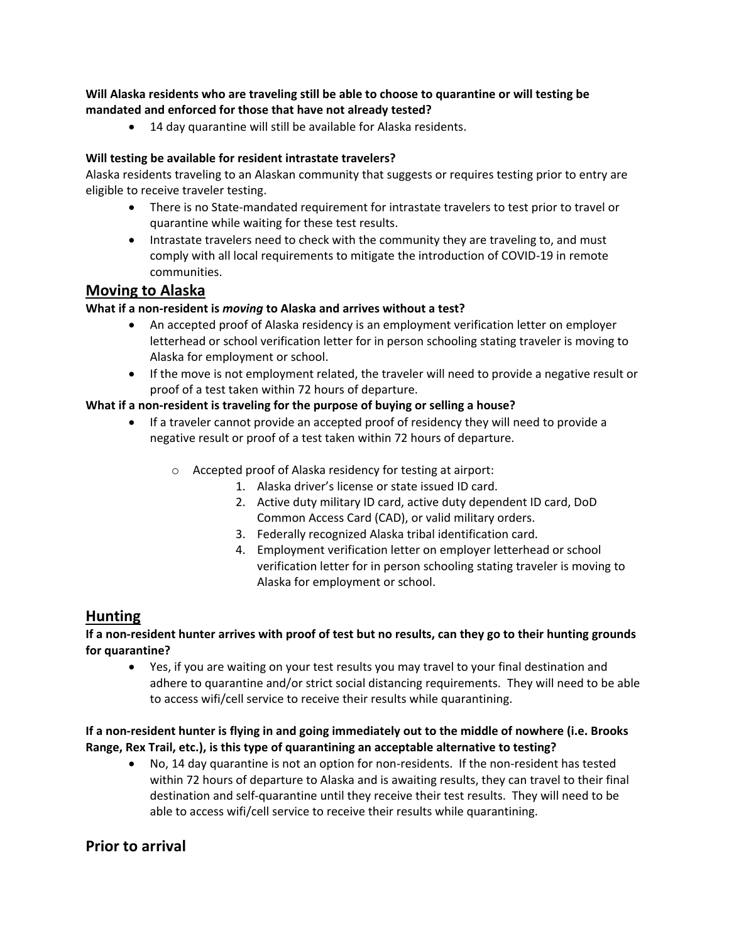## **Will Alaska residents who are traveling still be able to choose to quarantine or will testing be mandated and enforced for those that have not already tested?**

14 day quarantine will still be available for Alaska residents.

#### **Will testing be available for resident intrastate travelers?**

Alaska residents traveling to an Alaskan community that suggests or requires testing prior to entry are eligible to receive traveler testing.

- There is no State-mandated requirement for intrastate travelers to test prior to travel or quarantine while waiting for these test results.
- Intrastate travelers need to check with the community they are traveling to, and must comply with all local requirements to mitigate the introduction of COVID-19 in remote communities.

# **Moving to Alaska**

#### **What if a non-resident is** *moving* **to Alaska and arrives without a test?**

- An accepted proof of Alaska residency is an employment verification letter on employer letterhead or school verification letter for in person schooling stating traveler is moving to Alaska for employment or school.
- If the move is not employment related, the traveler will need to provide a negative result or proof of a test taken within 72 hours of departure.

#### **What if a non-resident is traveling for the purpose of buying or selling a house?**

- If a traveler cannot provide an accepted proof of residency they will need to provide a negative result or proof of a test taken within 72 hours of departure.
	- o Accepted proof of Alaska residency for testing at airport:
		- 1. Alaska driver's license or state issued ID card.
		- 2. Active duty military ID card, active duty dependent ID card, DoD Common Access Card (CAD), or valid military orders.
		- 3. Federally recognized Alaska tribal identification card.
		- 4. Employment verification letter on employer letterhead or school verification letter for in person schooling stating traveler is moving to Alaska for employment or school.

# **Hunting**

# **If a non-resident hunter arrives with proof of test but no results, can they go to their hunting grounds for quarantine?**

 Yes, if you are waiting on your test results you may travel to your final destination and adhere to quarantine and/or strict social distancing requirements. They will need to be able to access wifi/cell service to receive their results while quarantining.

# **If a non-resident hunter is flying in and going immediately out to the middle of nowhere (i.e. Brooks Range, Rex Trail, etc.), is this type of quarantining an acceptable alternative to testing?**

 No, 14 day quarantine is not an option for non-residents. If the non-resident has tested within 72 hours of departure to Alaska and is awaiting results, they can travel to their final destination and self-quarantine until they receive their test results. They will need to be able to access wifi/cell service to receive their results while quarantining.

# **Prior to arrival**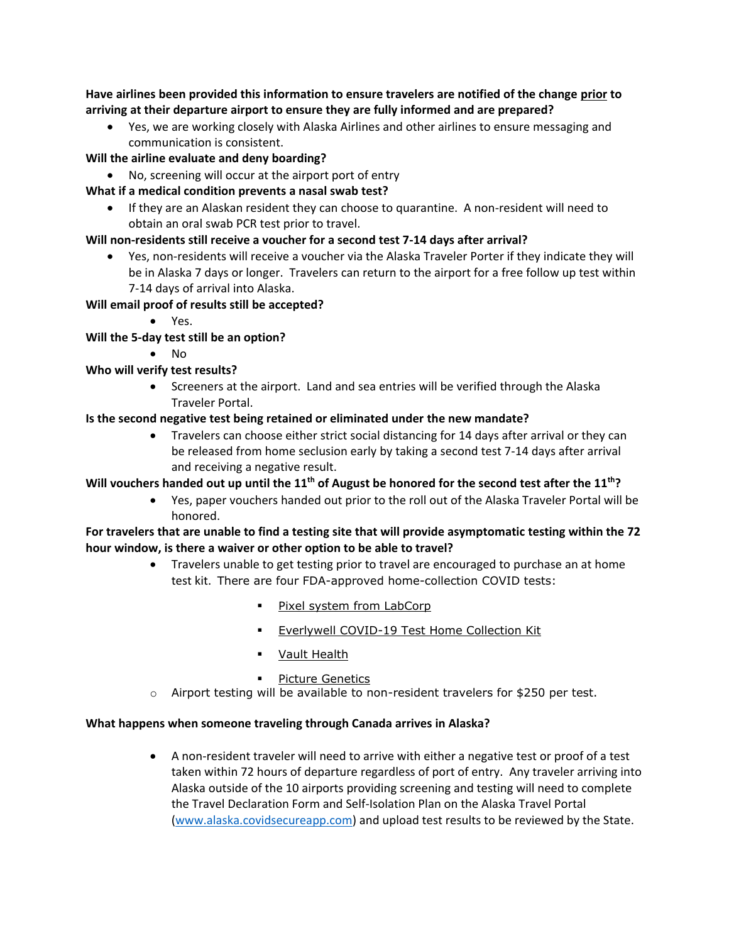**Have airlines been provided this information to ensure travelers are notified of the change prior to arriving at their departure airport to ensure they are fully informed and are prepared?**

 Yes, we are working closely with Alaska Airlines and other airlines to ensure messaging and communication is consistent.

#### **Will the airline evaluate and deny boarding?**

No, screening will occur at the airport port of entry

#### **What if a medical condition prevents a nasal swab test?**

 If they are an Alaskan resident they can choose to quarantine. A non-resident will need to obtain an oral swab PCR test prior to travel.

#### **Will non-residents still receive a voucher for a second test 7-14 days after arrival?**

 Yes, non-residents will receive a voucher via the Alaska Traveler Porter if they indicate they will be in Alaska 7 days or longer. Travelers can return to the airport for a free follow up test within 7-14 days of arrival into Alaska.

# **Will email proof of results still be accepted?**

Yes.

# **Will the 5-day test still be an option?**

 $\bullet$  No

# **Who will verify test results?**

• Screeners at the airport. Land and sea entries will be verified through the Alaska Traveler Portal.

#### **Is the second negative test being retained or eliminated under the new mandate?**

 Travelers can choose either strict social distancing for 14 days after arrival or they can be released from home seclusion early by taking a second test 7-14 days after arrival and receiving a negative result.

# **Will vouchers handed out up until the 11th of August be honored for the second test after the 11th?**

 Yes, paper vouchers handed out prior to the roll out of the Alaska Traveler Portal will be honored.

#### **For travelers that are unable to find a testing site that will provide asymptomatic testing within the 72 hour window, is there a waiver or other option to be able to travel?**

- Travelers unable to get testing prior to travel are encouraged to purchase an at home test kit. There are four FDA-approved home-collection COVID tests:
	- **Pixel system from [LabCorp](https://www.pixel.labcorp.com/at-home-test-kits/covid-19-test)**
	- **Everlywell [COVID-19](https://www.everlywell.com/products/covid-19-test/) Test Home Collection Kit**
	- **Vault [Health](https://www.vaulthealth.com/covid)**
	- Picture [Genetics](https://www.picturegenetics.com/covid19)
- $\circ$  Airport testing will be available to non-resident travelers for \$250 per test.

#### **What happens when someone traveling through Canada arrives in Alaska?**

 A non-resident traveler will need to arrive with either a negative test or proof of a test taken within 72 hours of departure regardless of port of entry. Any traveler arriving into Alaska outside of the 10 airports providing screening and testing will need to complete the Travel Declaration Form and Self-Isolation Plan on the Alaska Travel Portal [\(www.alaska.covidsecureapp.com\)](http://www.alaska.covidsecureapp.com/) and upload test results to be reviewed by the State.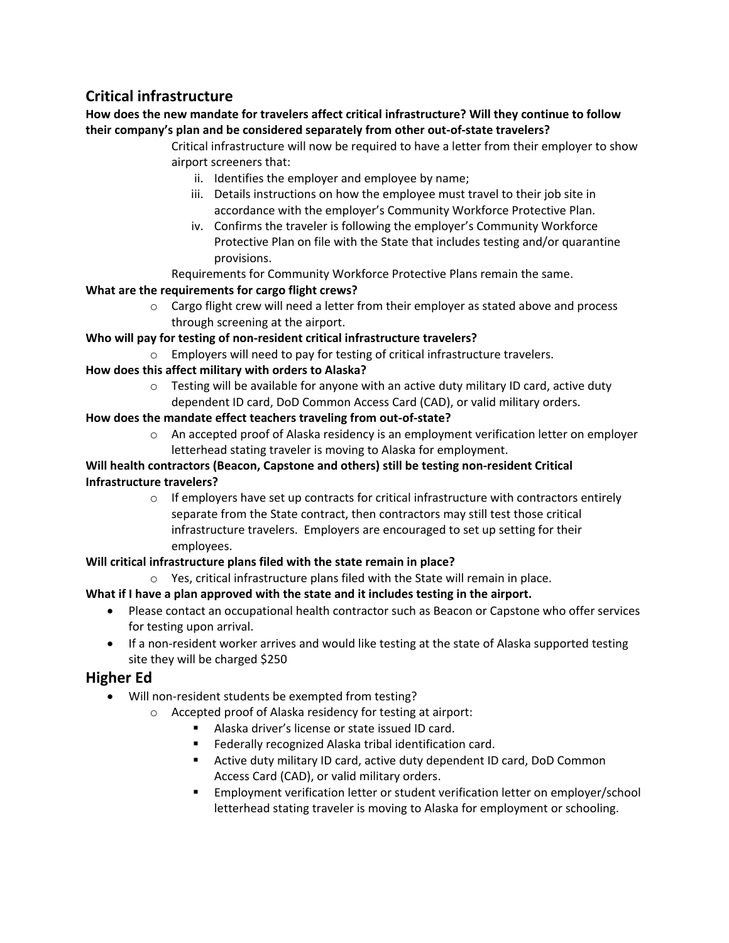# **Critical infrastructure**

**How does the new mandate for travelers affect critical infrastructure? Will they continue to follow their company's plan and be considered separately from other out-of-state travelers?**

- Critical infrastructure will now be required to have a letter from their employer to show airport screeners that:
	- ii. Identifies the employer and employee by name;
	- iii. Details instructions on how the employee must travel to their job site in accordance with the employer's Community Workforce Protective Plan.
	- iv. Confirms the traveler is following the employer's Community Workforce Protective Plan on file with the State that includes testing and/or quarantine provisions.

Requirements for Community Workforce Protective Plans remain the same.

# **What are the requirements for cargo flight crews?**

 $\circ$  Cargo flight crew will need a letter from their employer as stated above and process through screening at the airport.

# **Who will pay for testing of non-resident critical infrastructure travelers?**

o Employers will need to pay for testing of critical infrastructure travelers.

# **How does this affect military with orders to Alaska?**

 $\circ$  Testing will be available for anyone with an active duty military ID card, active duty dependent ID card, DoD Common Access Card (CAD), or valid military orders.

# **How does the mandate effect teachers traveling from out-of-state?**

 $\circ$  An accepted proof of Alaska residency is an employment verification letter on employer letterhead stating traveler is moving to Alaska for employment.

# **Will health contractors (Beacon, Capstone and others) still be testing non-resident Critical Infrastructure travelers?**

 $\circ$  If employers have set up contracts for critical infrastructure with contractors entirely separate from the State contract, then contractors may still test those critical infrastructure travelers. Employers are encouraged to set up setting for their employees.

# **Will critical infrastructure plans filed with the state remain in place?**

 $\circ$  Yes, critical infrastructure plans filed with the State will remain in place.

# **What if I have a plan approved with the state and it includes testing in the airport.**

- Please contact an occupational health contractor such as Beacon or Capstone who offer services for testing upon arrival.
- If a non-resident worker arrives and would like testing at the state of Alaska supported testing site they will be charged \$250

# **Higher Ed**

- Will non-resident students be exempted from testing?
	- o Accepted proof of Alaska residency for testing at airport:
		- Alaska driver's license or state issued ID card.
		- **Federally recognized Alaska tribal identification card.**
		- Active duty military ID card, active duty dependent ID card, DoD Common Access Card (CAD), or valid military orders.
		- Employment verification letter or student verification letter on employer/school letterhead stating traveler is moving to Alaska for employment or schooling.